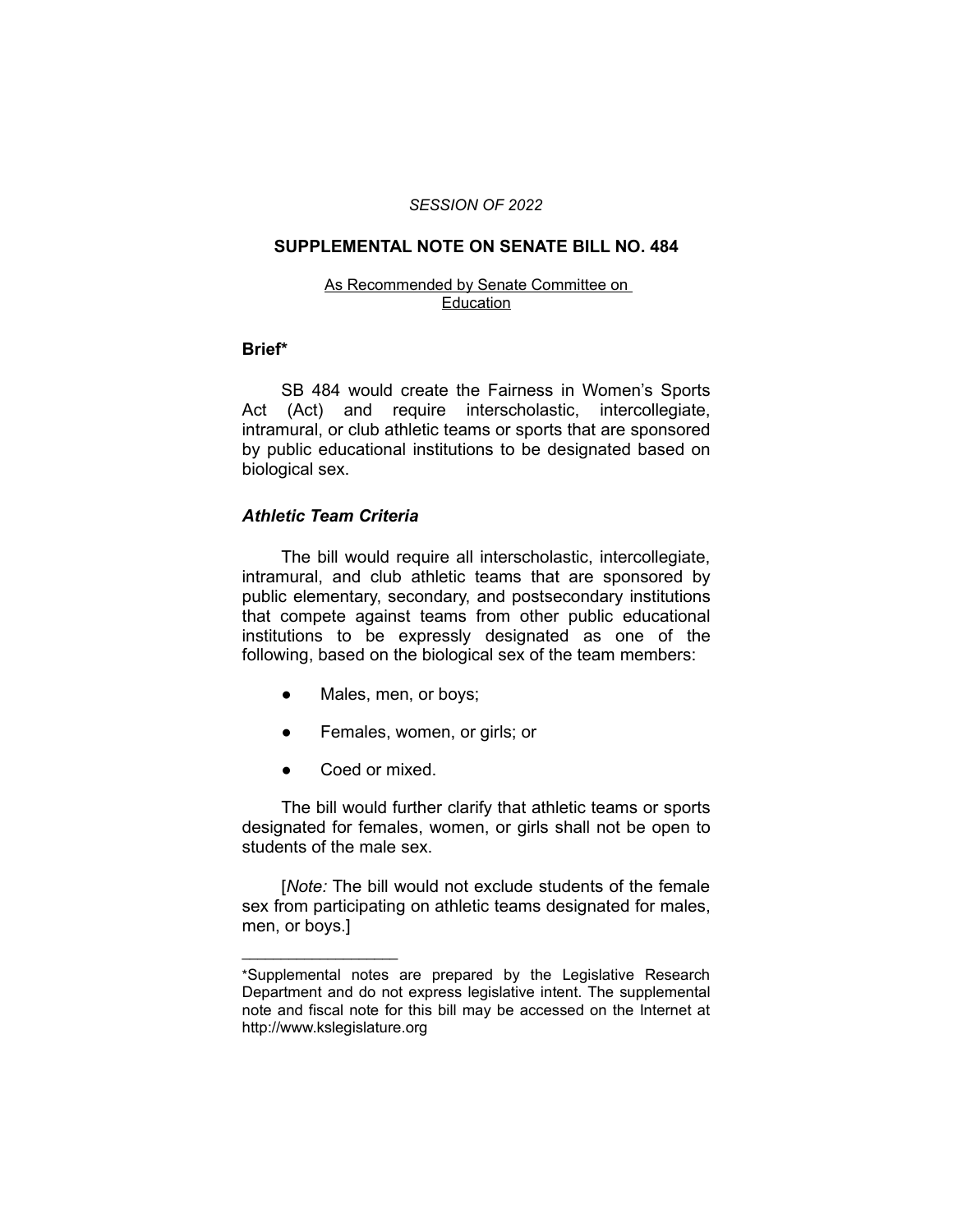#### *SESSION OF 2022*

### **SUPPLEMENTAL NOTE ON SENATE BILL NO. 484**

#### As Recommended by Senate Committee on Education

#### **Brief\***

SB 484 would create the Fairness in Women's Sports Act (Act) and require interscholastic, intercollegiate, intramural, or club athletic teams or sports that are sponsored by public educational institutions to be designated based on biological sex.

# *Athletic Team Criteria*

The bill would require all interscholastic, intercollegiate, intramural, and club athletic teams that are sponsored by public elementary, secondary, and postsecondary institutions that compete against teams from other public educational institutions to be expressly designated as one of the following, based on the biological sex of the team members:

- Males, men, or boys;
- Females, women, or girls; or
- Coed or mixed.

 $\overline{\phantom{a}}$  , where  $\overline{\phantom{a}}$  , where  $\overline{\phantom{a}}$ 

The bill would further clarify that athletic teams or sports designated for females, women, or girls shall not be open to students of the male sex.

[*Note:* The bill would not exclude students of the female sex from participating on athletic teams designated for males, men, or boys.]

<sup>\*</sup>Supplemental notes are prepared by the Legislative Research Department and do not express legislative intent. The supplemental note and fiscal note for this bill may be accessed on the Internet at http://www.kslegislature.org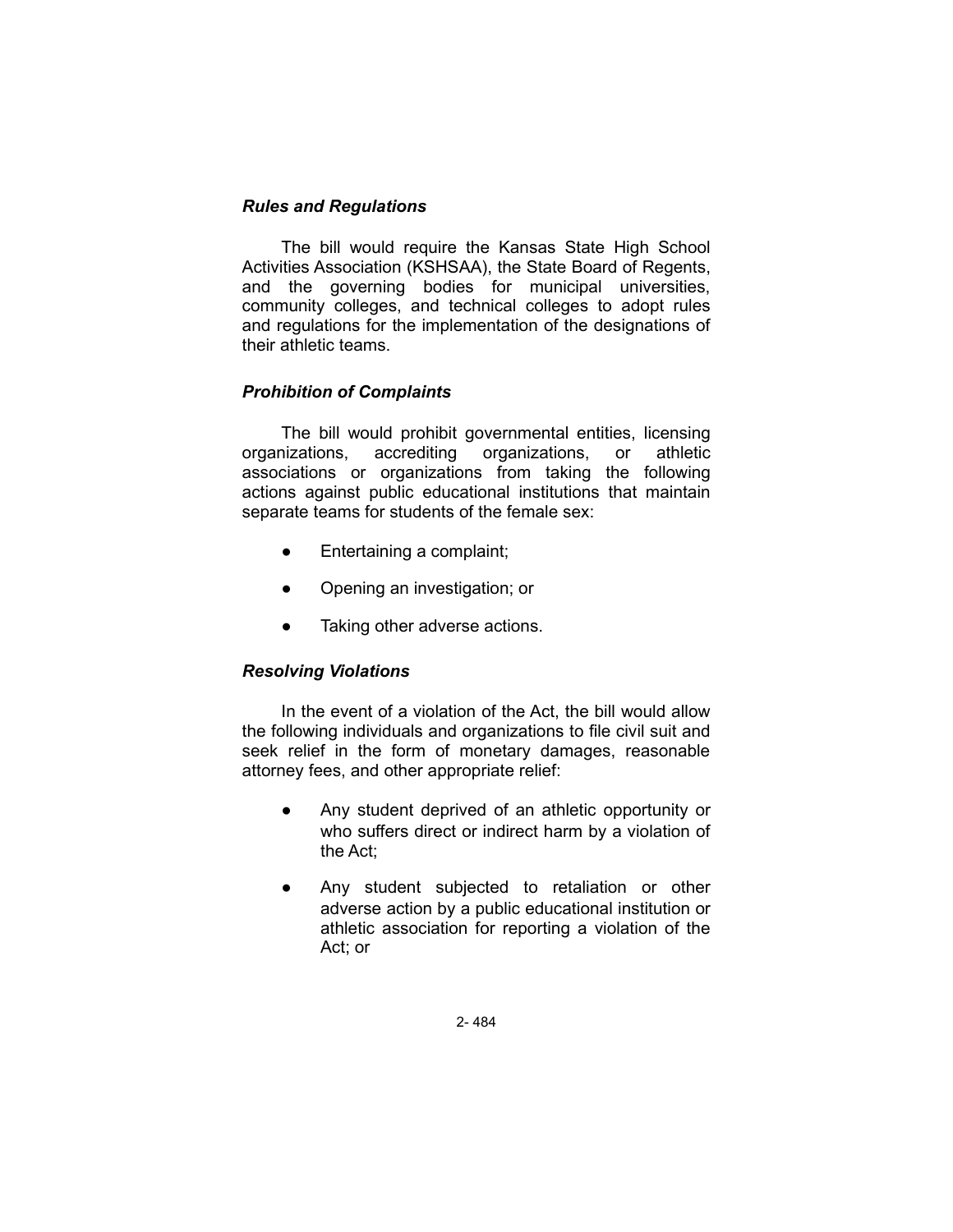## *Rules and Regulations*

The bill would require the Kansas State High School Activities Association (KSHSAA), the State Board of Regents, and the governing bodies for municipal universities, community colleges, and technical colleges to adopt rules and regulations for the implementation of the designations of their athletic teams.

# *Prohibition of Complaints*

The bill would prohibit governmental entities, licensing organizations, accrediting organizations, or athletic associations or organizations from taking the following actions against public educational institutions that maintain separate teams for students of the female sex:

- Entertaining a complaint;
- Opening an investigation; or
- Taking other adverse actions.

# *Resolving Violations*

In the event of a violation of the Act, the bill would allow the following individuals and organizations to file civil suit and seek relief in the form of monetary damages, reasonable attorney fees, and other appropriate relief:

- Any student deprived of an athletic opportunity or who suffers direct or indirect harm by a violation of the Act;
- Any student subjected to retaliation or other adverse action by a public educational institution or athletic association for reporting a violation of the Act; or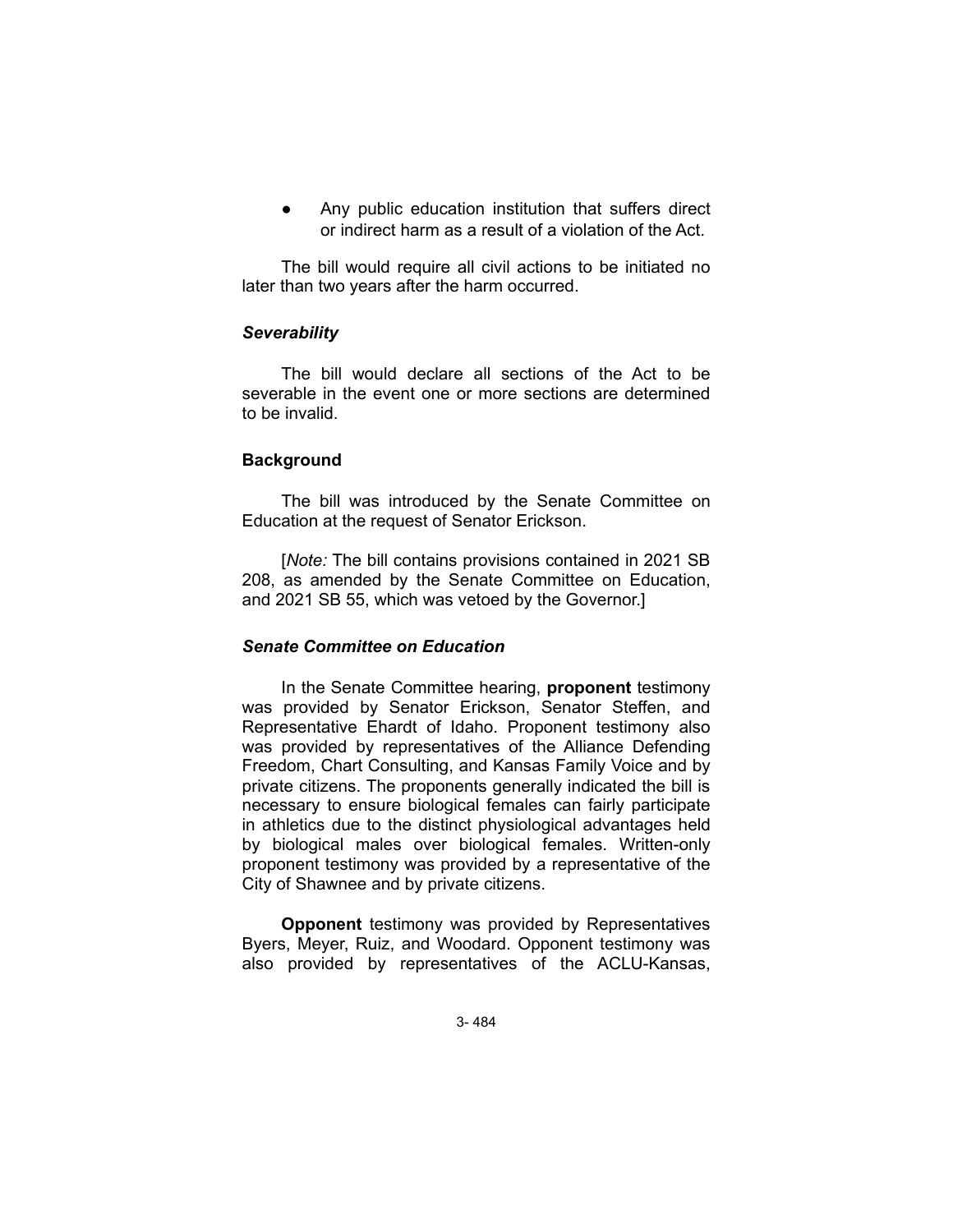Any public education institution that suffers direct or indirect harm as a result of a violation of the Act.

The bill would require all civil actions to be initiated no later than two years after the harm occurred.

### *Severability*

The bill would declare all sections of the Act to be severable in the event one or more sections are determined to be invalid.

### **Background**

The bill was introduced by the Senate Committee on Education at the request of Senator Erickson.

[*Note:* The bill contains provisions contained in 2021 SB 208, as amended by the Senate Committee on Education, and 2021 SB 55, which was vetoed by the Governor.]

### *Senate Committee on Education*

In the Senate Committee hearing, **proponent** testimony was provided by Senator Erickson, Senator Steffen, and Representative Ehardt of Idaho. Proponent testimony also was provided by representatives of the Alliance Defending Freedom, Chart Consulting, and Kansas Family Voice and by private citizens. The proponents generally indicated the bill is necessary to ensure biological females can fairly participate in athletics due to the distinct physiological advantages held by biological males over biological females. Written-only proponent testimony was provided by a representative of the City of Shawnee and by private citizens.

**Opponent** testimony was provided by Representatives Byers, Meyer, Ruiz, and Woodard. Opponent testimony was also provided by representatives of the ACLU-Kansas,